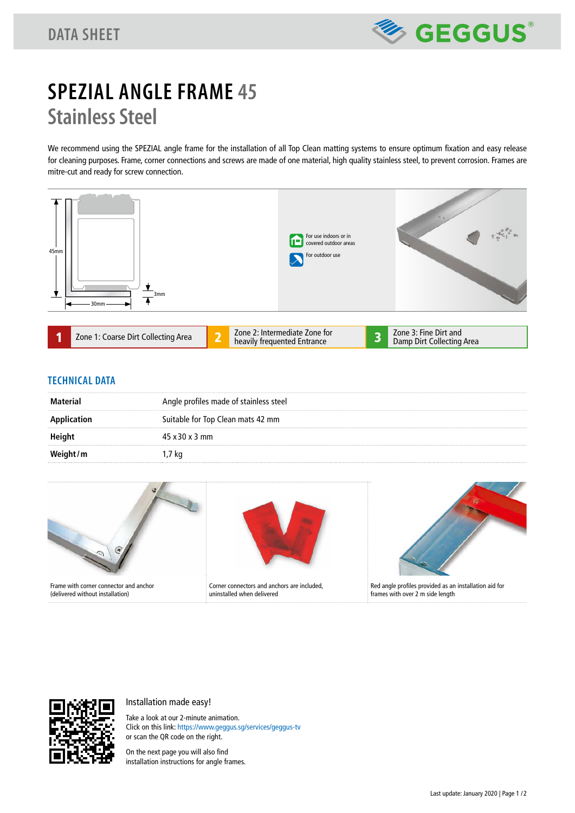## **SPEZIAL ANGLE FRAME 45 Stainless Steel**

We recommend using the SPEZIAL angle frame for the installation of all Top Clean matting systems to ensure optimum fixation and easy release for cleaning purposes. Frame, corner connections and screws are made of one material, high quality stainless steel, to prevent corrosion. Frames are mitre-cut and ready for screw connection.



## **TECHNICAL DATA**

| Material    | Angle profiles made of stainless steel |
|-------------|----------------------------------------|
| Application | Suitable for Top Clean mats 42 mm      |
| Height      | $45 \times 30 \times 3$ mm             |
| Weight / m  | 1,7 kg                                 |





## Installation made easy!

Take a look at our 2-minute animation. Click on this link: https://www.geggus.sg/services/geggus-tv or scan the QR code on the right.

On the next page you will also find installation instructions for angle frames.